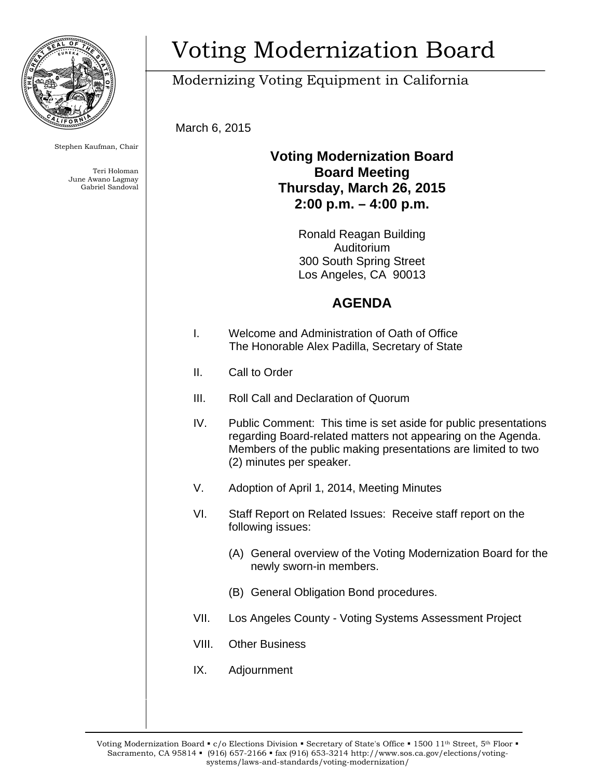

Stephen Kaufman, Chair

Teri Holoman June Awano Lagmay Gabriel Sandoval

# Voting Modernization Board

## Modernizing Voting Equipment in California

March 6, 2015

#### **Voting Modernization Board Board Meeting Thursday, March 26, 2015 2:00 p.m. – 4:00 p.m.**

Ronald Reagan Building Auditorium 300 South Spring Street Los Angeles, CA 90013

### **AGENDA**

- I. Welcome and Administration of Oath of Office The Honorable Alex Padilla, Secretary of State
- II. Call to Order
- III. Roll Call and Declaration of Quorum
- IV. Public Comment: This time is set aside for public presentations regarding Board-related matters not appearing on the Agenda. Members of the public making presentations are limited to two (2) minutes per speaker.
- V. Adoption of April 1, 2014, Meeting Minutes
- VI. Staff Report on Related Issues: Receive staff report on the following issues:
	- (A) General overview of the Voting Modernization Board for the newly sworn-in members.
	- (B) General Obligation Bond procedures.
- VII. Los Angeles County Voting Systems Assessment Project
- VIII. Other Business
- IX. Adjournment

Voting Modernization Board • c/o Elections Division • Secretary of State's Office • 1500 11<sup>th</sup> Street, 5<sup>th</sup> Floor • Sacramento, CA 95814 • (916) 657-2166 • fax (916) 653-3214 http://www.sos.ca.gov/elections/votingsystems/laws-and-standards/voting-modernization/